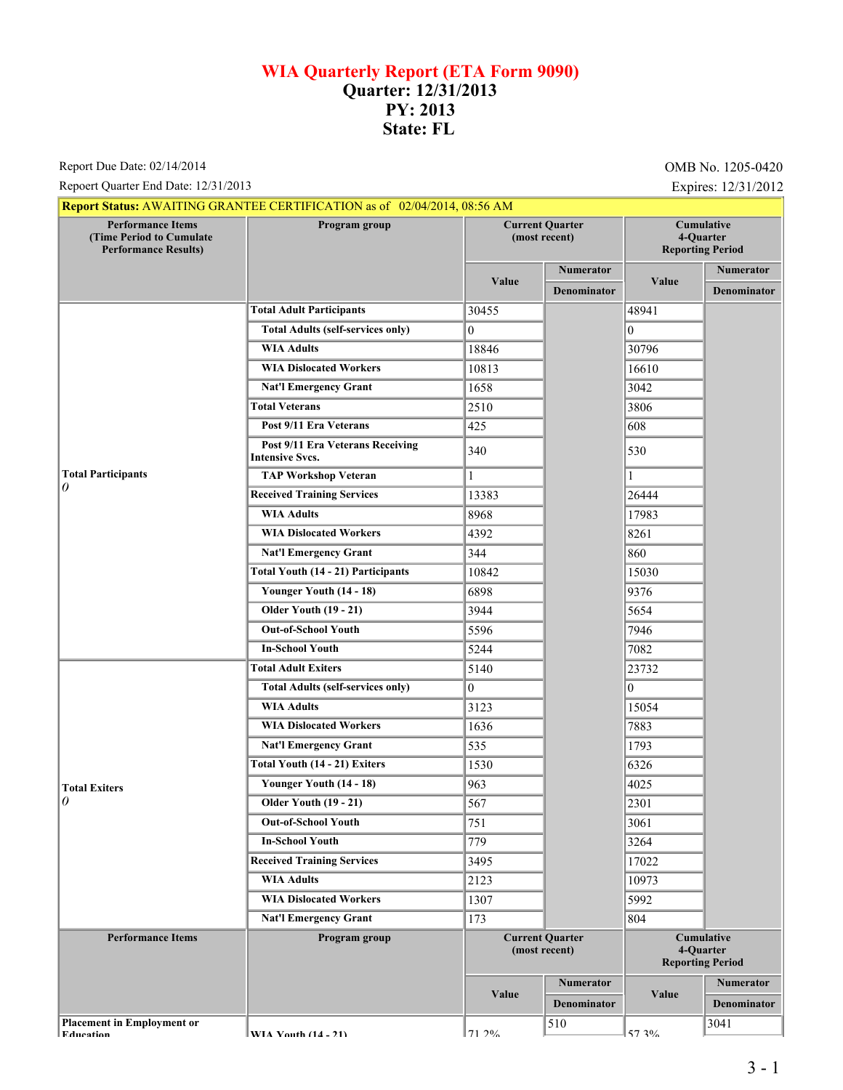## **WIA Quarterly Report (ETA Form 9090) Quarter: 12/31/2013 PY: 2013 State: FL**

Report Due Date: 02/14/2014

Repoert Quarter End Date: 12/31/2013<br>
Expires: 12/31/2012

|                                                                                     | <b>Report Status: AWAITING GRANTEE CERTIFICATION as of 02/04/2014, 08:56 AM</b> |                                         |                    |                                                           |                    |
|-------------------------------------------------------------------------------------|---------------------------------------------------------------------------------|-----------------------------------------|--------------------|-----------------------------------------------------------|--------------------|
| <b>Performance Items</b><br>(Time Period to Cumulate<br><b>Performance Results)</b> | Program group                                                                   | <b>Current Quarter</b><br>(most recent) |                    | Cumulative<br>4-Quarter<br><b>Reporting Period</b>        |                    |
|                                                                                     |                                                                                 | Value                                   | <b>Numerator</b>   |                                                           | Numerator          |
|                                                                                     |                                                                                 |                                         | <b>Denominator</b> | Value                                                     | <b>Denominator</b> |
|                                                                                     | <b>Total Adult Participants</b>                                                 | 30455                                   |                    | 48941                                                     |                    |
|                                                                                     | <b>Total Adults (self-services only)</b>                                        | $\Omega$                                |                    | $\theta$                                                  |                    |
|                                                                                     | <b>WIA Adults</b>                                                               | 18846                                   |                    | 30796                                                     |                    |
|                                                                                     | <b>WIA Dislocated Workers</b>                                                   | 10813                                   |                    | 16610                                                     |                    |
|                                                                                     | <b>Nat'l Emergency Grant</b>                                                    | 1658                                    |                    | 3042                                                      |                    |
|                                                                                     | <b>Total Veterans</b>                                                           | 2510                                    |                    | 3806                                                      |                    |
|                                                                                     | Post 9/11 Era Veterans                                                          | 425                                     |                    | 608                                                       |                    |
|                                                                                     | Post 9/11 Era Veterans Receiving<br><b>Intensive Svcs.</b>                      | 340                                     |                    | 530                                                       |                    |
| <b>Total Participants</b>                                                           | <b>TAP Workshop Veteran</b>                                                     | 1                                       |                    |                                                           |                    |
| 0                                                                                   | <b>Received Training Services</b>                                               | 13383                                   |                    | 26444                                                     |                    |
|                                                                                     | <b>WIA Adults</b>                                                               | 8968                                    |                    | 17983                                                     |                    |
|                                                                                     | <b>WIA Dislocated Workers</b>                                                   | 4392                                    |                    | 8261                                                      |                    |
|                                                                                     | <b>Nat'l Emergency Grant</b>                                                    | 344                                     |                    | 860                                                       |                    |
|                                                                                     | <b>Total Youth (14 - 21) Participants</b>                                       | 10842                                   |                    | 15030                                                     |                    |
|                                                                                     | Younger Youth (14 - 18)                                                         | 6898                                    |                    | 9376                                                      |                    |
|                                                                                     | <b>Older Youth (19 - 21)</b>                                                    | 3944                                    |                    | 5654                                                      |                    |
|                                                                                     | <b>Out-of-School Youth</b>                                                      | 5596                                    |                    | 7946                                                      |                    |
|                                                                                     | <b>In-School Youth</b>                                                          | 5244                                    |                    | 7082                                                      |                    |
|                                                                                     | <b>Total Adult Exiters</b>                                                      | 5140                                    |                    | 23732                                                     |                    |
|                                                                                     | <b>Total Adults (self-services only)</b>                                        | $\overline{0}$                          |                    | $\Omega$                                                  |                    |
|                                                                                     | <b>WIA Adults</b>                                                               | 3123                                    |                    | 15054                                                     |                    |
|                                                                                     | <b>WIA Dislocated Workers</b>                                                   | 1636                                    |                    | 7883                                                      |                    |
|                                                                                     | <b>Nat'l Emergency Grant</b>                                                    | 535                                     |                    | 1793                                                      |                    |
|                                                                                     | Total Youth (14 - 21) Exiters                                                   | 1530                                    |                    | 6326                                                      |                    |
| <b>Total Exiters</b><br>0                                                           | Younger Youth (14 - 18)                                                         | 963                                     |                    | 4025                                                      |                    |
|                                                                                     | <b>Older Youth (19 - 21)</b>                                                    | 567                                     |                    | 2301                                                      |                    |
|                                                                                     | <b>Out-of-School Youth</b>                                                      | 751                                     |                    | 3061                                                      |                    |
|                                                                                     | <b>In-School Youth</b>                                                          | 779                                     |                    | 3264                                                      |                    |
|                                                                                     | <b>Received Training Services</b>                                               | 3495                                    |                    | 17022                                                     |                    |
|                                                                                     | <b>WIA Adults</b>                                                               | 2123                                    |                    | 10973                                                     |                    |
|                                                                                     | <b>WIA Dislocated Workers</b>                                                   | 1307                                    |                    | 5992                                                      |                    |
|                                                                                     | <b>Nat'l Emergency Grant</b>                                                    | 173                                     |                    | 804                                                       |                    |
| <b>Performance Items</b>                                                            | Program group                                                                   | <b>Current Quarter</b><br>(most recent) |                    | <b>Cumulative</b><br>4-Quarter<br><b>Reporting Period</b> |                    |
|                                                                                     |                                                                                 | Value                                   | <b>Numerator</b>   | Value                                                     | <b>Numerator</b>   |
|                                                                                     |                                                                                 |                                         | <b>Denominator</b> |                                                           | <b>Denominator</b> |
| <b>Placement in Employment or</b><br><b>Education</b>                               | WIA Vouth $(14 - 21)$                                                           | 71 20%                                  | 510                | 57.30/                                                    | 3041               |

**Placement in Employ** 

**EVIA Vouth (14 - 21)**  $71.2\%$ 

57.3%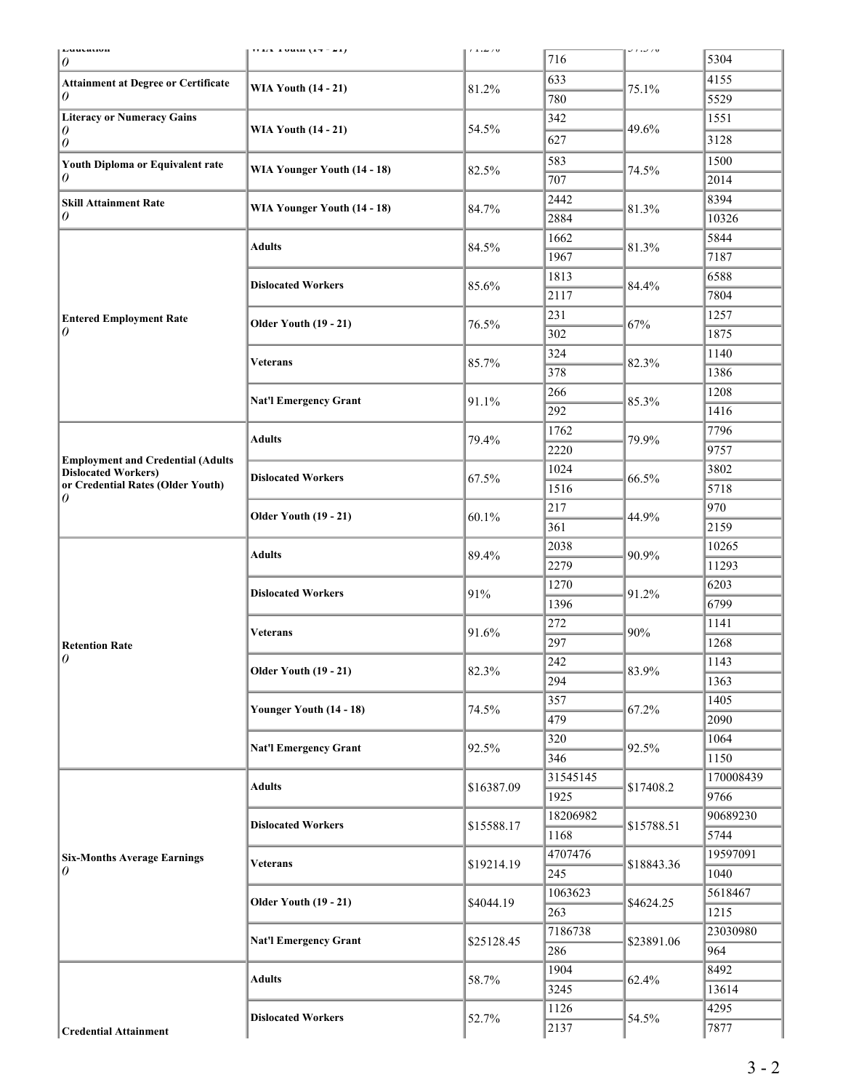| Euutanun<br>0                                                                                               | $(14 - 74)$ and $(17 - 21)$                               | $t\perp\ldots\perp t$ v | 716              | J 1 .J / U | 5304             |
|-------------------------------------------------------------------------------------------------------------|-----------------------------------------------------------|-------------------------|------------------|------------|------------------|
| <b>Attainment at Degree or Certificate</b><br>0                                                             | <b>WIA Youth (14 - 21)</b>                                | 81.2%                   | 633              |            | 4155             |
|                                                                                                             |                                                           |                         | 780              | 75.1%      | 5529             |
| <b>Literacy or Numeracy Gains</b><br>0<br>0                                                                 | <b>WIA Youth (14 - 21)</b>                                | 54.5%                   | 342              |            | 1551             |
|                                                                                                             |                                                           |                         | 627              | 49.6%      | 3128             |
| Youth Diploma or Equivalent rate<br>0                                                                       | WIA Younger Youth (14 - 18)                               | 82.5%                   | 583              | 74.5%      | 1500             |
|                                                                                                             |                                                           |                         | 707              |            | 2014             |
| <b>Skill Attainment Rate</b><br>0                                                                           | WIA Younger Youth (14 - 18)                               | 84.7%                   | 2442             |            | 8394             |
|                                                                                                             |                                                           |                         | 2884             | 81.3%      | 10326            |
|                                                                                                             |                                                           |                         | 1662             |            | 5844             |
|                                                                                                             | <b>Adults</b>                                             | 84.5%                   | 1967             | 81.3%      | 7187             |
|                                                                                                             |                                                           |                         | 1813             |            | 6588             |
|                                                                                                             | <b>Dislocated Workers</b><br><b>Older Youth (19 - 21)</b> | 85.6%                   | 2117             | 84.4%      | 7804             |
| <b>Entered Employment Rate</b>                                                                              |                                                           |                         | 231              |            | 1257             |
| 0                                                                                                           |                                                           | 76.5%                   | 302              | 67%        | 1875             |
|                                                                                                             |                                                           |                         | 324              |            | 1140             |
|                                                                                                             | <b>Veterans</b>                                           | 85.7%                   | 378              | 82.3%      | 1386             |
|                                                                                                             |                                                           |                         | 266              |            | 1208             |
|                                                                                                             | <b>Nat'l Emergency Grant</b>                              | 91.1%                   | 292              | 85.3%      | 1416             |
| <b>Employment and Credential (Adults</b><br><b>Dislocated Workers)</b><br>or Credential Rates (Older Youth) |                                                           |                         | 1762             | 79.9%      | 7796             |
|                                                                                                             | <b>Adults</b>                                             | 79.4%                   | 2220             |            | 9757             |
|                                                                                                             |                                                           |                         | 1024             |            | 3802             |
|                                                                                                             | <b>Dislocated Workers</b>                                 | 67.5%                   | 1516             | 66.5%      | 5718             |
| 0                                                                                                           |                                                           | 60.1%                   | 217              | 44.9%      | 970              |
|                                                                                                             | <b>Older Youth (19 - 21)</b>                              |                         | 361              |            | 2159             |
|                                                                                                             | <b>Adults</b>                                             | 89.4%                   | 2038             | 90.9%      | 10265            |
|                                                                                                             |                                                           |                         | 2279             |            | 11293            |
|                                                                                                             | <b>Dislocated Workers</b>                                 | 91%                     | 1270             | 91.2%      | 6203             |
|                                                                                                             |                                                           |                         | 1396             |            | 6799             |
|                                                                                                             | <b>Veterans</b>                                           | 91.6%                   | 272              | 90%        | 1141             |
| <b>Retention Rate</b>                                                                                       |                                                           |                         | 297              |            | 1268             |
| $\theta$                                                                                                    | <b>Older Youth (19 - 21)</b>                              | 82.3%                   | 242              | 83.9%      | 1143             |
|                                                                                                             |                                                           |                         | 294              |            | 1363             |
|                                                                                                             | Younger Youth (14 - 18)                                   | 74.5%                   | 357              | 67.2%      | 1405             |
|                                                                                                             |                                                           |                         | 479              |            | 2090             |
|                                                                                                             | <b>Nat'l Emergency Grant</b>                              | 92.5%                   | 320              | 92.5%      | 1064             |
|                                                                                                             |                                                           |                         | 346              |            | 1150             |
| <b>Six-Months Average Earnings</b><br>0                                                                     | <b>Adults</b>                                             | \$16387.09              | 31545145         | \$17408.2  | 170008439        |
|                                                                                                             |                                                           |                         | 1925             |            | 9766<br>90689230 |
|                                                                                                             | <b>Dislocated Workers</b>                                 | \$15588.17              | 18206982<br>1168 | \$15788.51 | 5744             |
|                                                                                                             |                                                           |                         | 4707476          |            | 19597091         |
|                                                                                                             | <b>Veterans</b>                                           | \$19214.19              | 245              | \$18843.36 | 1040             |
|                                                                                                             |                                                           |                         | 1063623          |            | 5618467          |
|                                                                                                             | <b>Older Youth (19 - 21)</b>                              | \$4044.19               | 263              | \$4624.25  | 1215             |
|                                                                                                             | <b>Nat'l Emergency Grant</b>                              | \$25128.45              | 7186738          | \$23891.06 | 23030980         |
|                                                                                                             |                                                           |                         | 286              |            | 964              |
|                                                                                                             |                                                           |                         | 1904             |            | 8492             |
|                                                                                                             | <b>Adults</b>                                             | 58.7%                   | 3245             | 62.4%      | 13614            |
|                                                                                                             |                                                           |                         | 1126             |            | 4295             |
| <b>Credential Attainment</b>                                                                                | <b>Dislocated Workers</b>                                 | 52.7%                   | 2137             | 54.5%      | 7877             |
|                                                                                                             |                                                           |                         |                  |            |                  |